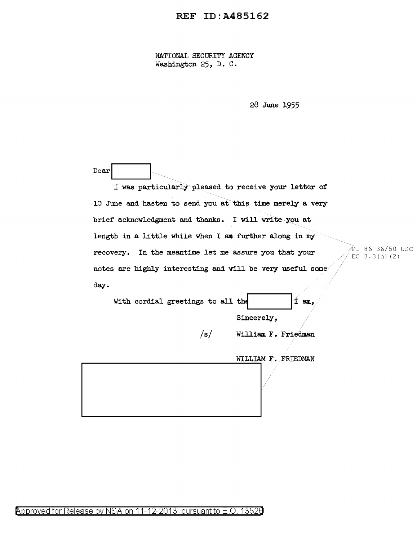## REF ID:A485162

NATIONAL SECURITY AGENCY Washington 25, D. C.

28 June 1955

| Dear<br>I was particularly pleased to receive your letter of |                                   |  |
|--------------------------------------------------------------|-----------------------------------|--|
| 10 June and hasten to send you at this time merely a very    |                                   |  |
| brief acknowledgment and thanks. I will write you at         |                                   |  |
| length in a little while when I am further along in my       |                                   |  |
| recovery. In the meantime let me assure you that your        | PL 86-36/50 USC<br>EO $3.3(h)(2)$ |  |
| notes are highly interesting and will be very useful some    |                                   |  |
| day.                                                         |                                   |  |
| $T$ am,<br>With cordial greetings to all the                 |                                   |  |
|                                                              | Sincerely,                        |  |
| /s/                                                          | William F. Friedman               |  |
|                                                              | WILLIAM F. FRIEDMAN               |  |
|                                                              |                                   |  |

 $\sim$   $\sim$ 

Approved for Release by NSA on 11-12-2013 pursuant to E.O. 13526